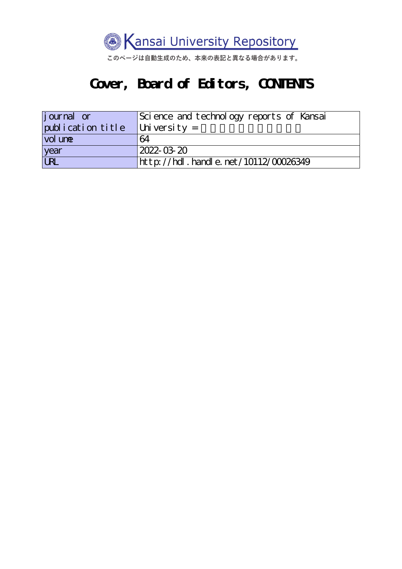

このページは自動生成のため、本来の表記と異なる場合があります。

#### **Cover, Board of Editors, CONTENTS**

| <i>j</i> ournal or | Science and technology reports of Kansai |  |
|--------------------|------------------------------------------|--|
| publication title  | $\vert$ University =                     |  |
| vol une            | 64                                       |  |
| year               | 2022-03-20                               |  |
| <b>URL</b>         | http://hdl.handle.net/10112/00026349     |  |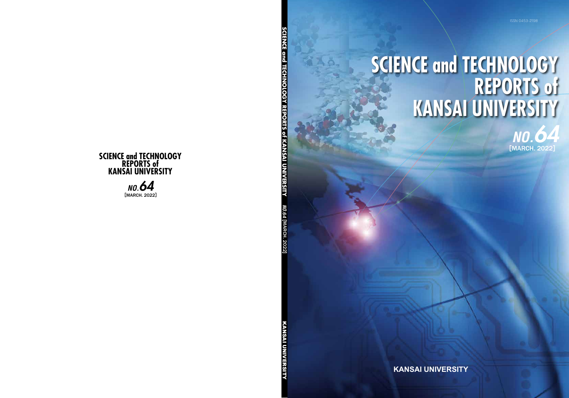

*NO.64* **[**

MARCH. 2022

**] SCIENCE and TECHNOLOGY REPORTS of KANSAI UNIVERSITY**

**SCIENCE and TECHNOLOGY REPORTS of KANSAI UNIVERSITY** 

KANSAI UNIVERSITY

**KANSAI UNIVERSITY** 

**KANSAI UNIVERSITY**

# **SCIENCE and TECHNOLOGY REPORTS of KANSAI UNIVERSITY**



[MARCH. 2022 ] *NO.64*

**SCIENCE and TECHNOLOGY REPORTS of KANSAI UNIVERSITY**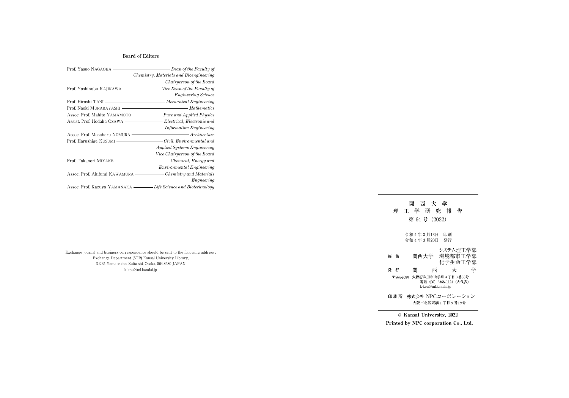Exchange journal and business correspondence should be sent to the following address : Exchange Department (STR) Kansai University Library, 3-3-35 Yamate-cho, Suita-shi, Osaka, 564-8680 JAPAN k-kou@ml.kandai.jp

理工学研究報告 第 64 号 (2022) 令和 4 年 3 月13日 印刷 令和 4 年 3 月20日 発行 システム理工学部 関西大学 環境都市工学部 化学生命工学部 関 大 西 学 電話 (06) 6368-1121 (大代表) k-kou@ml.kandai.jp大阪市北区天満1丁目9番19号

関西大学

編 集 発 行 〒564-8680 大阪府吹田市山手町 3 丁目 3 番35号 印刷所 株式会社 NPCコーポレーション

© Kansai University, 2022 Printed by NPC corporation Co., Ltd.

**Board of Editors**

| Prof. Yasuo NAGAOKA            | Dean of the Faculty of                  |
|--------------------------------|-----------------------------------------|
|                                | Chemistry, Materials and Bioengineering |
|                                | Chairperson of the Board                |
| Prof. Yoshinobu KAJIKAWA       | Vice Dean of the Faculty of             |
|                                | <b>Engineering Science</b>              |
| Prof. Hiroshi TANI -           | Mechanical Engineering                  |
| Prof. Naoki MURABAYASHI ·      | $-Mathematics$                          |
| Assoc. Prof. Mahito YAMAMOTO   | <b>Pure and Applied Physics</b>         |
| Assist. Prof. Hodaka OSAWA     | Electrical, Electronic and              |
|                                | <b>Information Engineering</b>          |
| Assoc. Prof. Masaharu NOMURA   | <i>Architecture</i>                     |
| Prof. Harushige KUSUMI -       | Civil, Environmental and                |
|                                | <i>Applied Systems Engineering</i>      |
|                                | Vice Chairperson of the Board           |
| Prof. Takanori MIYAKE -        | - Chemical, Energy and                  |
|                                | <i>Environmental Engineering</i>        |
| Assoc. Prof. Akifumi KAWAMURA  | Chemistry and Materials                 |
|                                | Engneering                              |
| Assoc. Prof. Kazuya YAMANAKA · | Life Science and Biotechnology          |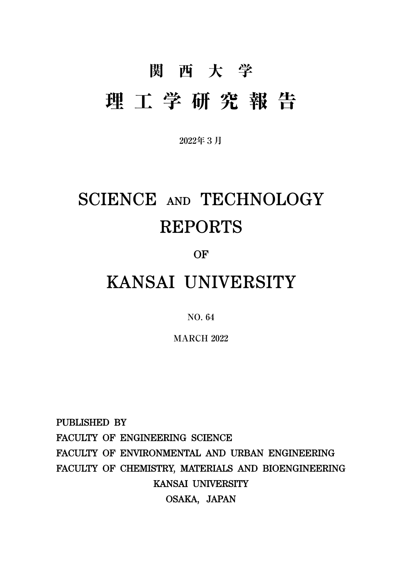# 関西大学 理工学研究報告

**2022年3月**

## SCIENCE AND TECHNOLOGY REPORTS

OF

### KANSAI UNIVERSITY

**NO. 64**

**MARCH 2022**

PUBLISHED BY FACULTY OF ENGINEERING SCIENCE FACULTY OF ENVIRONMENTAL AND URBAN ENGINEERING FACULTY OF CHEMISTRY, MATERIALS AND BIOENGINEERING KANSAI UNIVERSITY OSAKA, JAPAN